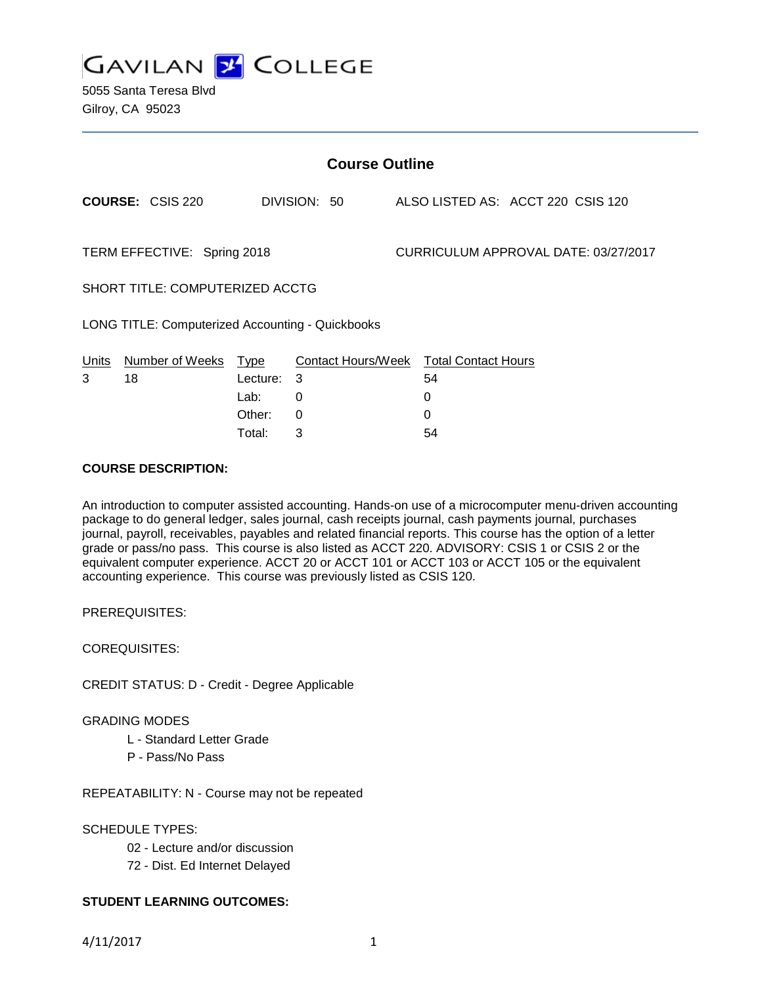

5055 Santa Teresa Blvd Gilroy, CA 95023

| <b>Course Outline</b>           |                                                  |             |              |  |                                        |                                   |  |
|---------------------------------|--------------------------------------------------|-------------|--------------|--|----------------------------------------|-----------------------------------|--|
|                                 | <b>COURSE: CSIS 220</b>                          |             | DIVISION: 50 |  |                                        | ALSO LISTED AS: ACCT 220 CSIS 120 |  |
| TERM EFFECTIVE: Spring 2018     |                                                  |             |              |  | CURRICULUM APPROVAL DATE: 03/27/2017   |                                   |  |
| SHORT TITLE: COMPUTERIZED ACCTG |                                                  |             |              |  |                                        |                                   |  |
|                                 | LONG TITLE: Computerized Accounting - Quickbooks |             |              |  |                                        |                                   |  |
| <b>Units</b>                    | Number of Weeks                                  | <u>Type</u> |              |  | Contact Hours/Week Total Contact Hours |                                   |  |
| 3                               | 18                                               | Lecture:    | 3            |  | 54                                     |                                   |  |
|                                 |                                                  | Lab:        | 0            |  | 0                                      |                                   |  |
|                                 |                                                  | Other:      | $\Omega$     |  | 0                                      |                                   |  |
|                                 |                                                  | Total:      | 3            |  | 54                                     |                                   |  |

#### **COURSE DESCRIPTION:**

An introduction to computer assisted accounting. Hands-on use of a microcomputer menu-driven accounting package to do general ledger, sales journal, cash receipts journal, cash payments journal, purchases journal, payroll, receivables, payables and related financial reports. This course has the option of a letter grade or pass/no pass. This course is also listed as ACCT 220. ADVISORY: CSIS 1 or CSIS 2 or the equivalent computer experience. ACCT 20 or ACCT 101 or ACCT 103 or ACCT 105 or the equivalent accounting experience. This course was previously listed as CSIS 120.

PREREQUISITES:

COREQUISITES:

CREDIT STATUS: D - Credit - Degree Applicable

GRADING MODES

L - Standard Letter Grade

P - Pass/No Pass

REPEATABILITY: N - Course may not be repeated

SCHEDULE TYPES:

02 - Lecture and/or discussion

72 - Dist. Ed Internet Delayed

### **STUDENT LEARNING OUTCOMES:**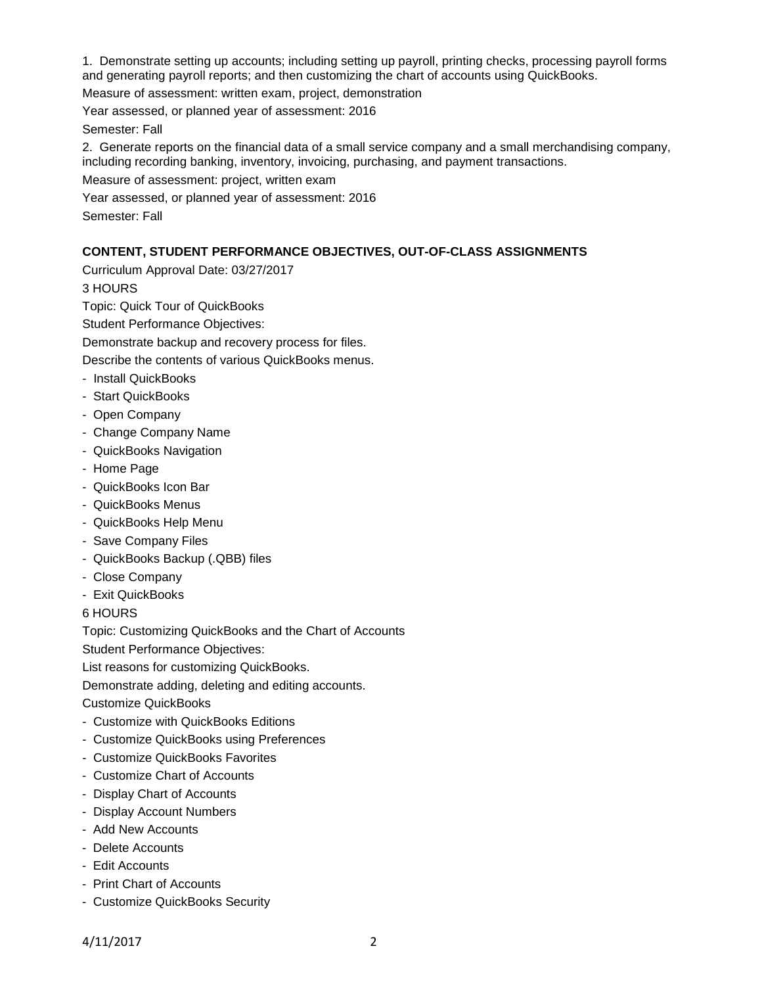1. Demonstrate setting up accounts; including setting up payroll, printing checks, processing payroll forms and generating payroll reports; and then customizing the chart of accounts using QuickBooks.

Measure of assessment: written exam, project, demonstration

Year assessed, or planned year of assessment: 2016

Semester: Fall

2. Generate reports on the financial data of a small service company and a small merchandising company, including recording banking, inventory, invoicing, purchasing, and payment transactions.

Measure of assessment: project, written exam

Year assessed, or planned year of assessment: 2016

Semester: Fall

### **CONTENT, STUDENT PERFORMANCE OBJECTIVES, OUT-OF-CLASS ASSIGNMENTS**

Curriculum Approval Date: 03/27/2017

3 HOURS

Topic: Quick Tour of QuickBooks

Student Performance Objectives:

Demonstrate backup and recovery process for files.

Describe the contents of various QuickBooks menus.

- Install QuickBooks
- Start QuickBooks
- Open Company
- Change Company Name
- QuickBooks Navigation
- Home Page
- QuickBooks Icon Bar
- QuickBooks Menus
- QuickBooks Help Menu
- Save Company Files
- QuickBooks Backup (.QBB) files
- Close Company
- Exit QuickBooks

6 HOURS

Topic: Customizing QuickBooks and the Chart of Accounts

Student Performance Objectives:

List reasons for customizing QuickBooks.

Demonstrate adding, deleting and editing accounts.

Customize QuickBooks

- Customize with QuickBooks Editions
- Customize QuickBooks using Preferences
- Customize QuickBooks Favorites
- Customize Chart of Accounts
- Display Chart of Accounts
- Display Account Numbers
- Add New Accounts
- Delete Accounts
- Edit Accounts
- Print Chart of Accounts
- Customize QuickBooks Security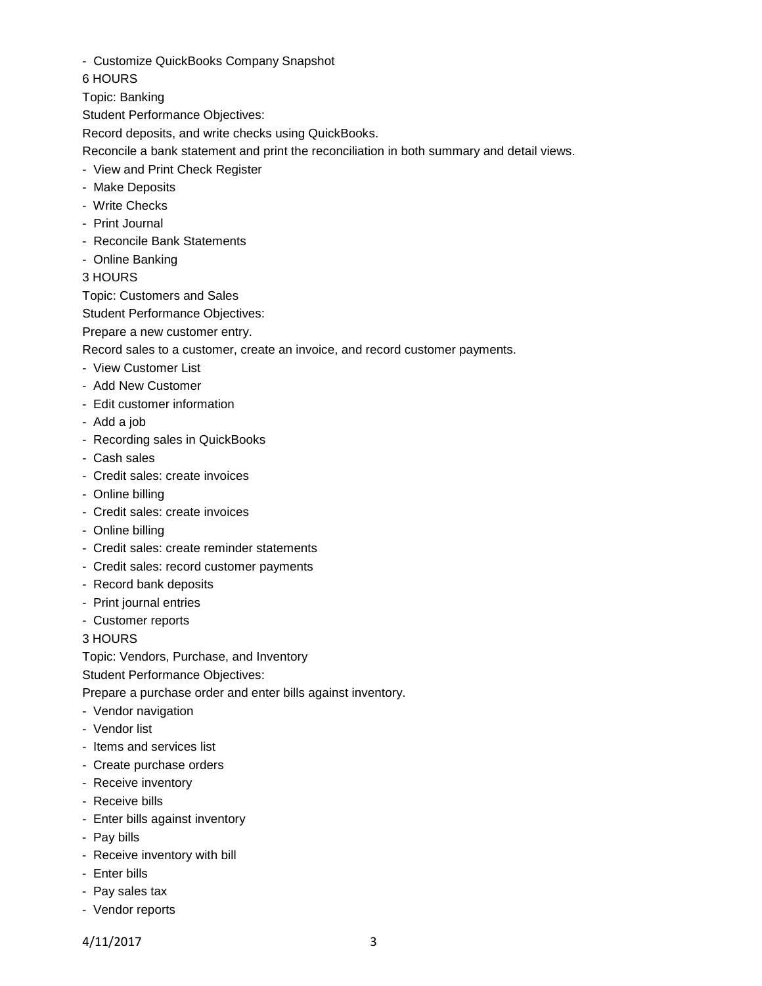- Customize QuickBooks Company Snapshot

6 HOURS

Topic: Banking

Student Performance Objectives:

Record deposits, and write checks using QuickBooks.

Reconcile a bank statement and print the reconciliation in both summary and detail views.

- View and Print Check Register
- Make Deposits
- Write Checks
- Print Journal
- Reconcile Bank Statements
- Online Banking
- 3 HOURS

Topic: Customers and Sales

Student Performance Objectives:

Prepare a new customer entry.

Record sales to a customer, create an invoice, and record customer payments.

- View Customer List
- Add New Customer
- Edit customer information
- Add a job
- Recording sales in QuickBooks
- Cash sales
- Credit sales: create invoices
- Online billing
- Credit sales: create invoices
- Online billing
- Credit sales: create reminder statements
- Credit sales: record customer payments
- Record bank deposits
- Print journal entries
- Customer reports

3 HOURS

Topic: Vendors, Purchase, and Inventory

Student Performance Objectives:

Prepare a purchase order and enter bills against inventory.

- Vendor navigation
- Vendor list
- Items and services list
- Create purchase orders
- Receive inventory
- Receive bills
- Enter bills against inventory
- Pay bills
- Receive inventory with bill
- Enter bills
- Pay sales tax
- Vendor reports

4/11/2017 3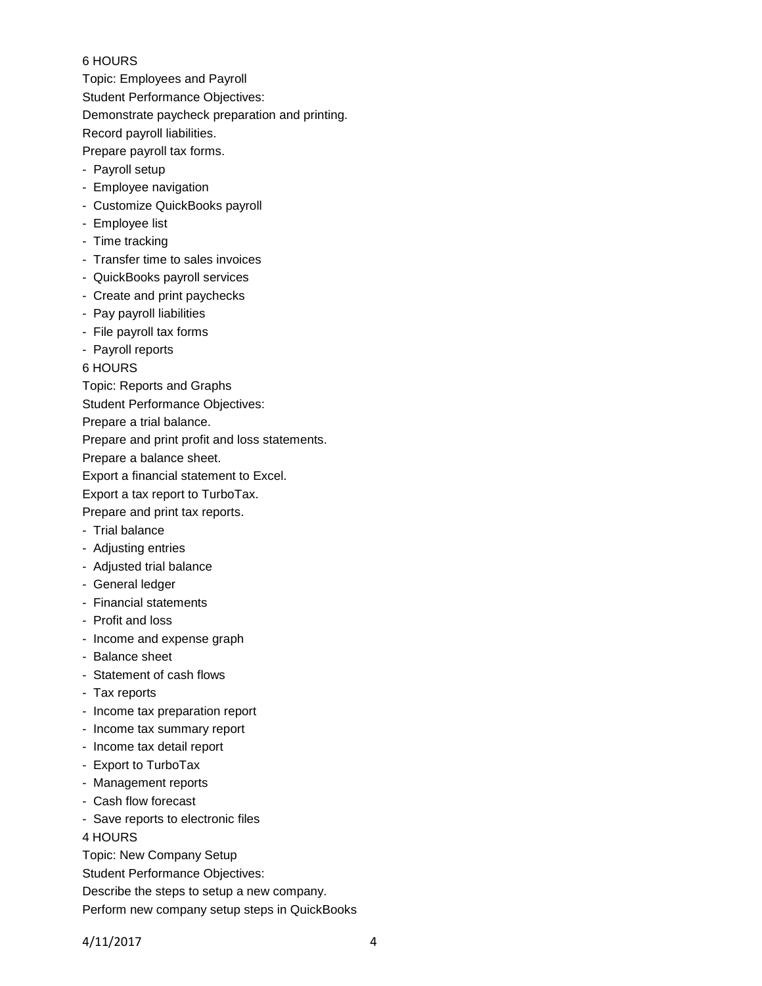### 6 HOURS

Topic: Employees and Payroll Student Performance Objectives: Demonstrate paycheck preparation and printing. Record payroll liabilities.

Prepare payroll tax forms.

- Payroll setup
- Employee navigation
- Customize QuickBooks payroll
- Employee list
- Time tracking
- Transfer time to sales invoices
- QuickBooks payroll services
- Create and print paychecks
- Pay payroll liabilities
- File payroll tax forms
- Payroll reports

6 HOURS

Topic: Reports and Graphs

Student Performance Objectives:

Prepare a trial balance.

Prepare and print profit and loss statements.

Prepare a balance sheet.

Export a financial statement to Excel.

Export a tax report to TurboTax.

Prepare and print tax reports.

- Trial balance
- Adjusting entries
- Adjusted trial balance
- General ledger
- Financial statements
- Profit and loss
- Income and expense graph
- Balance sheet
- Statement of cash flows
- Tax reports
- Income tax preparation report
- Income tax summary report
- Income tax detail report
- Export to TurboTax
- Management reports
- Cash flow forecast
- Save reports to electronic files

4 HOURS

Topic: New Company Setup

Student Performance Objectives:

Describe the steps to setup a new company.

Perform new company setup steps in QuickBooks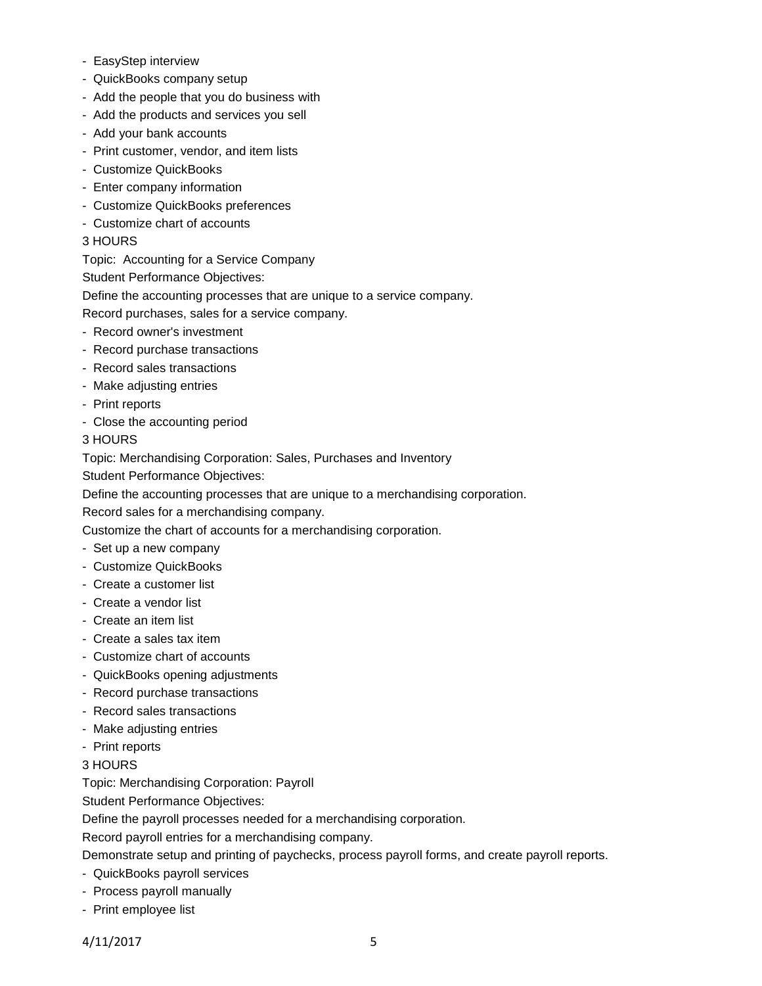- EasyStep interview
- QuickBooks company setup
- Add the people that you do business with
- Add the products and services you sell
- Add your bank accounts
- Print customer, vendor, and item lists
- Customize QuickBooks
- Enter company information
- Customize QuickBooks preferences
- Customize chart of accounts
- 3 HOURS
- Topic: Accounting for a Service Company
- Student Performance Objectives:
- Define the accounting processes that are unique to a service company.

Record purchases, sales for a service company.

- Record owner's investment
- Record purchase transactions
- Record sales transactions
- Make adjusting entries
- Print reports
- Close the accounting period

3 HOURS

Topic: Merchandising Corporation: Sales, Purchases and Inventory

Student Performance Objectives:

Define the accounting processes that are unique to a merchandising corporation.

Record sales for a merchandising company.

Customize the chart of accounts for a merchandising corporation.

- Set up a new company
- Customize QuickBooks
- Create a customer list
- Create a vendor list
- Create an item list
- Create a sales tax item
- Customize chart of accounts
- QuickBooks opening adjustments
- Record purchase transactions
- Record sales transactions
- Make adjusting entries
- Print reports
- 3 HOURS

Topic: Merchandising Corporation: Payroll

Student Performance Objectives:

Define the payroll processes needed for a merchandising corporation.

Record payroll entries for a merchandising company.

Demonstrate setup and printing of paychecks, process payroll forms, and create payroll reports.

- QuickBooks payroll services
- Process payroll manually
- Print employee list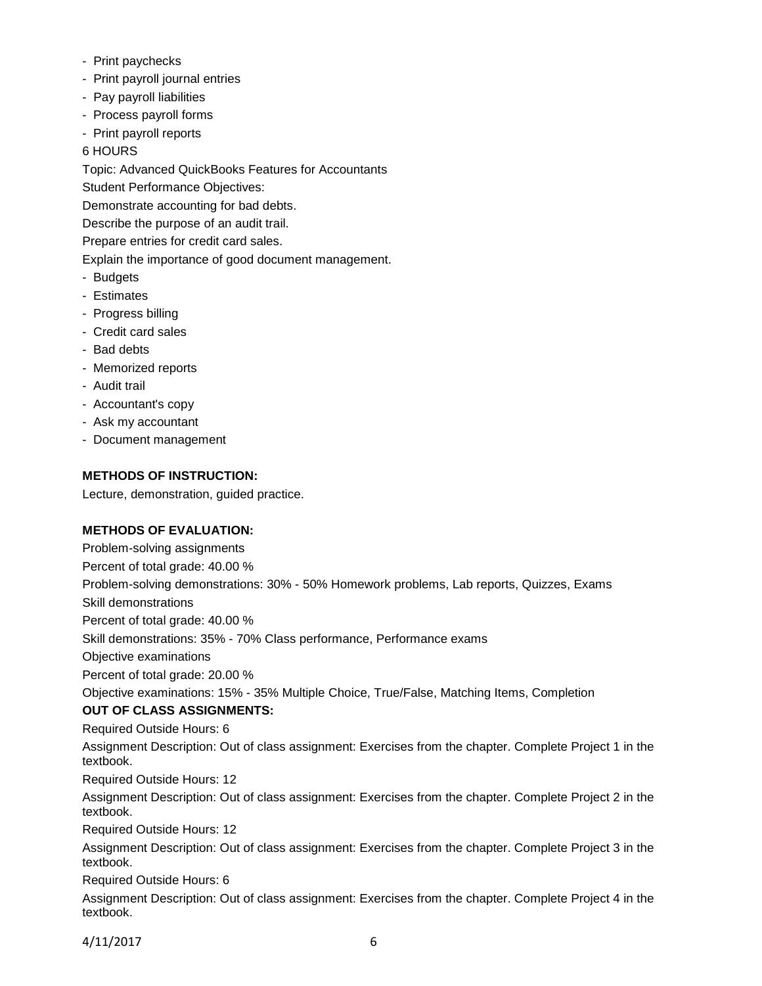- Print paychecks
- Print payroll journal entries
- Pay payroll liabilities
- Process payroll forms
- Print payroll reports
- 6 HOURS

Topic: Advanced QuickBooks Features for Accountants

Student Performance Objectives:

Demonstrate accounting for bad debts.

Describe the purpose of an audit trail.

Prepare entries for credit card sales.

Explain the importance of good document management.

- Budgets
- Estimates
- Progress billing
- Credit card sales
- Bad debts
- Memorized reports
- Audit trail
- Accountant's copy
- Ask my accountant
- Document management

## **METHODS OF INSTRUCTION:**

Lecture, demonstration, guided practice.

# **METHODS OF EVALUATION:**

Problem-solving assignments Percent of total grade: 40.00 % Problem-solving demonstrations: 30% - 50% Homework problems, Lab reports, Quizzes, Exams Skill demonstrations Percent of total grade: 40.00 % Skill demonstrations: 35% - 70% Class performance, Performance exams Objective examinations Percent of total grade: 20.00 % Objective examinations: 15% - 35% Multiple Choice, True/False, Matching Items, Completion **OUT OF CLASS ASSIGNMENTS:** Required Outside Hours: 6 Assignment Description: Out of class assignment: Exercises from the chapter. Complete Project 1 in the textbook. Required Outside Hours: 12 Assignment Description: Out of class assignment: Exercises from the chapter. Complete Project 2 in the textbook. Required Outside Hours: 12 Assignment Description: Out of class assignment: Exercises from the chapter. Complete Project 3 in the textbook. Required Outside Hours: 6 Assignment Description: Out of class assignment: Exercises from the chapter. Complete Project 4 in the textbook.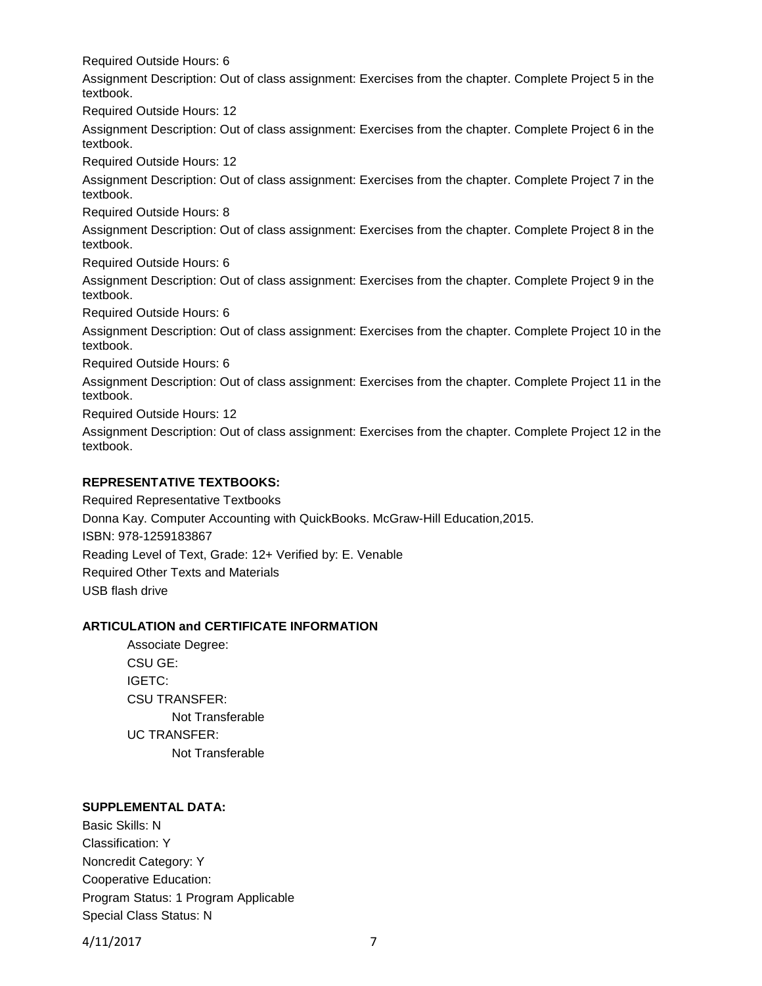Required Outside Hours: 6

Assignment Description: Out of class assignment: Exercises from the chapter. Complete Project 5 in the textbook.

Required Outside Hours: 12

Assignment Description: Out of class assignment: Exercises from the chapter. Complete Project 6 in the textbook.

Required Outside Hours: 12

Assignment Description: Out of class assignment: Exercises from the chapter. Complete Project 7 in the textbook.

Required Outside Hours: 8

Assignment Description: Out of class assignment: Exercises from the chapter. Complete Project 8 in the textbook.

Required Outside Hours: 6

Assignment Description: Out of class assignment: Exercises from the chapter. Complete Project 9 in the textbook.

Required Outside Hours: 6

Assignment Description: Out of class assignment: Exercises from the chapter. Complete Project 10 in the textbook.

Required Outside Hours: 6

Assignment Description: Out of class assignment: Exercises from the chapter. Complete Project 11 in the textbook.

Required Outside Hours: 12

Assignment Description: Out of class assignment: Exercises from the chapter. Complete Project 12 in the textbook.

## **REPRESENTATIVE TEXTBOOKS:**

Required Representative Textbooks Donna Kay. Computer Accounting with QuickBooks. McGraw-Hill Education,2015. ISBN: 978-1259183867 Reading Level of Text, Grade: 12+ Verified by: E. Venable Required Other Texts and Materials USB flash drive

### **ARTICULATION and CERTIFICATE INFORMATION**

Associate Degree: CSU GE: IGETC: CSU TRANSFER: Not Transferable UC TRANSFER: Not Transferable

### **SUPPLEMENTAL DATA:**

Basic Skills: N Classification: Y Noncredit Category: Y Cooperative Education: Program Status: 1 Program Applicable Special Class Status: N

4/11/2017 7